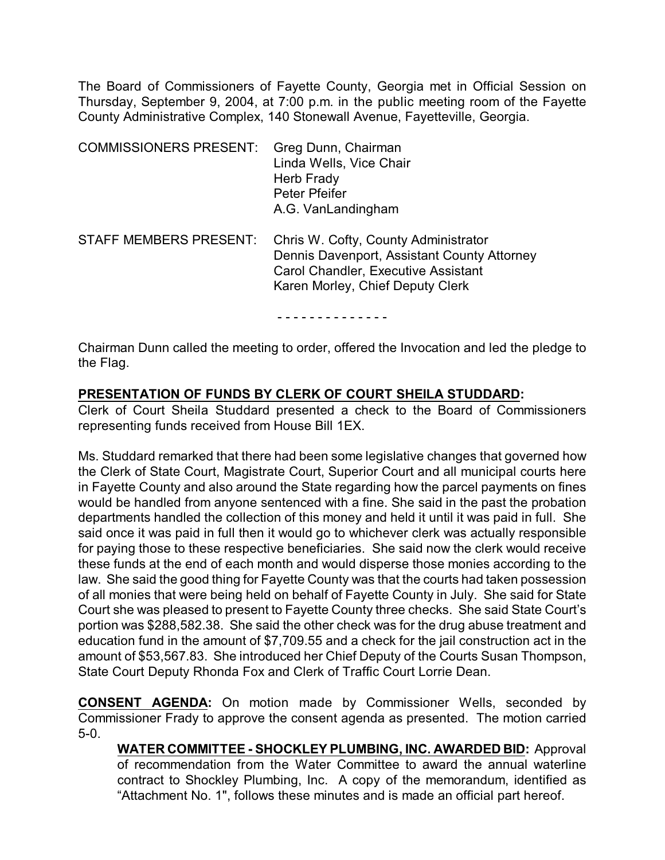The Board of Commissioners of Fayette County, Georgia met in Official Session on Thursday, September 9, 2004, at 7:00 p.m. in the public meeting room of the Fayette County Administrative Complex, 140 Stonewall Avenue, Fayetteville, Georgia.

| <b>COMMISSIONERS PRESENT:</b> | Greg Dunn, Chairman<br>Linda Wells, Vice Chair<br>Herb Frady<br>Peter Pfeifer<br>A.G. VanLandingham                                                                   |
|-------------------------------|-----------------------------------------------------------------------------------------------------------------------------------------------------------------------|
| <b>STAFF MEMBERS PRESENT:</b> | Chris W. Cofty, County Administrator<br>Dennis Davenport, Assistant County Attorney<br><b>Carol Chandler, Executive Assistant</b><br>Karen Morley, Chief Deputy Clerk |

- - - - - - - - - - - - - -

Chairman Dunn called the meeting to order, offered the Invocation and led the pledge to the Flag.

#### **PRESENTATION OF FUNDS BY CLERK OF COURT SHEILA STUDDARD:**

Clerk of Court Sheila Studdard presented a check to the Board of Commissioners representing funds received from House Bill 1EX.

Ms. Studdard remarked that there had been some legislative changes that governed how the Clerk of State Court, Magistrate Court, Superior Court and all municipal courts here in Fayette County and also around the State regarding how the parcel payments on fines would be handled from anyone sentenced with a fine. She said in the past the probation departments handled the collection of this money and held it until it was paid in full. She said once it was paid in full then it would go to whichever clerk was actually responsible for paying those to these respective beneficiaries. She said now the clerk would receive these funds at the end of each month and would disperse those monies according to the law. She said the good thing for Fayette County was that the courts had taken possession of all monies that were being held on behalf of Fayette County in July. She said for State Court she was pleased to present to Fayette County three checks. She said State Court's portion was \$288,582.38. She said the other check was for the drug abuse treatment and education fund in the amount of \$7,709.55 and a check for the jail construction act in the amount of \$53,567.83. She introduced her Chief Deputy of the Courts Susan Thompson, State Court Deputy Rhonda Fox and Clerk of Traffic Court Lorrie Dean.

**CONSENT AGENDA:** On motion made by Commissioner Wells, seconded by Commissioner Frady to approve the consent agenda as presented. The motion carried 5-0.

**WATER COMMITTEE - SHOCKLEY PLUMBING, INC. AWARDED BID:** Approval of recommendation from the Water Committee to award the annual waterline contract to Shockley Plumbing, Inc. A copy of the memorandum, identified as "Attachment No. 1", follows these minutes and is made an official part hereof.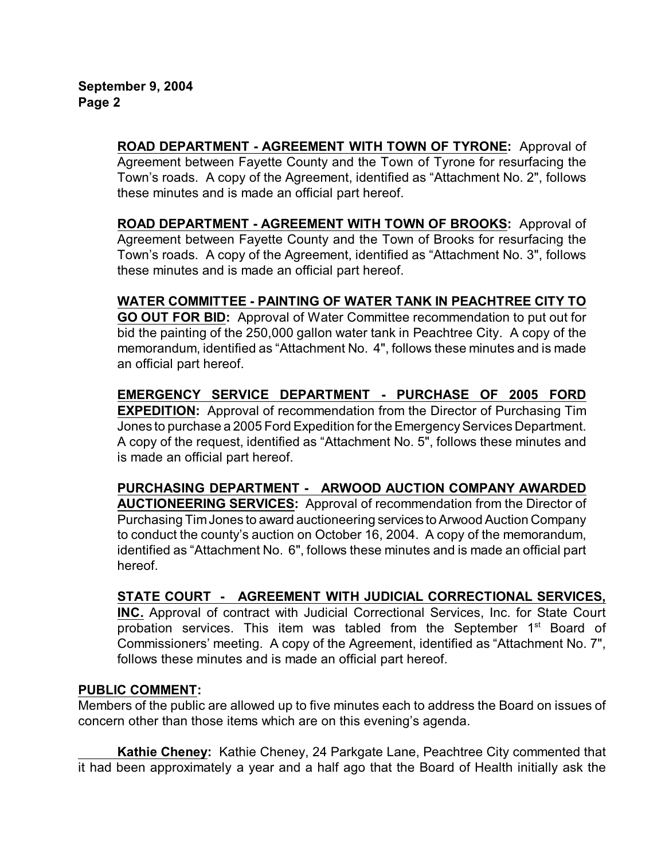**ROAD DEPARTMENT - AGREEMENT WITH TOWN OF TYRONE:** Approval of Agreement between Fayette County and the Town of Tyrone for resurfacing the Town's roads. A copy of the Agreement, identified as "Attachment No. 2", follows these minutes and is made an official part hereof.

**ROAD DEPARTMENT - AGREEMENT WITH TOWN OF BROOKS:** Approval of Agreement between Fayette County and the Town of Brooks for resurfacing the Town's roads. A copy of the Agreement, identified as "Attachment No. 3", follows these minutes and is made an official part hereof.

**WATER COMMITTEE - PAINTING OF WATER TANK IN PEACHTREE CITY TO GO OUT FOR BID:** Approval of Water Committee recommendation to put out for bid the painting of the 250,000 gallon water tank in Peachtree City. A copy of the memorandum, identified as "Attachment No. 4", follows these minutes and is made an official part hereof.

**EMERGENCY SERVICE DEPARTMENT - PURCHASE OF 2005 FORD EXPEDITION:** Approval of recommendation from the Director of Purchasing Tim Jones to purchase a 2005 Ford Expedition for the Emergency Services Department. A copy of the request, identified as "Attachment No. 5", follows these minutes and is made an official part hereof.

**PURCHASING DEPARTMENT - ARWOOD AUCTION COMPANY AWARDED AUCTIONEERING SERVICES:** Approval of recommendation from the Director of Purchasing Tim Jones to award auctioneering services to Arwood Auction Company to conduct the county's auction on October 16, 2004. A copy of the memorandum, identified as "Attachment No. 6", follows these minutes and is made an official part hereof.

# **STATE COURT - AGREEMENT WITH JUDICIAL CORRECTIONAL SERVICES,**

**INC.** Approval of contract with Judicial Correctional Services, Inc. for State Court probation services. This item was tabled from the September 1<sup>st</sup> Board of Commissioners' meeting. A copy of the Agreement, identified as "Attachment No. 7", follows these minutes and is made an official part hereof.

### **PUBLIC COMMENT:**

Members of the public are allowed up to five minutes each to address the Board on issues of concern other than those items which are on this evening's agenda.

**Kathie Cheney:** Kathie Cheney, 24 Parkgate Lane, Peachtree City commented that it had been approximately a year and a half ago that the Board of Health initially ask the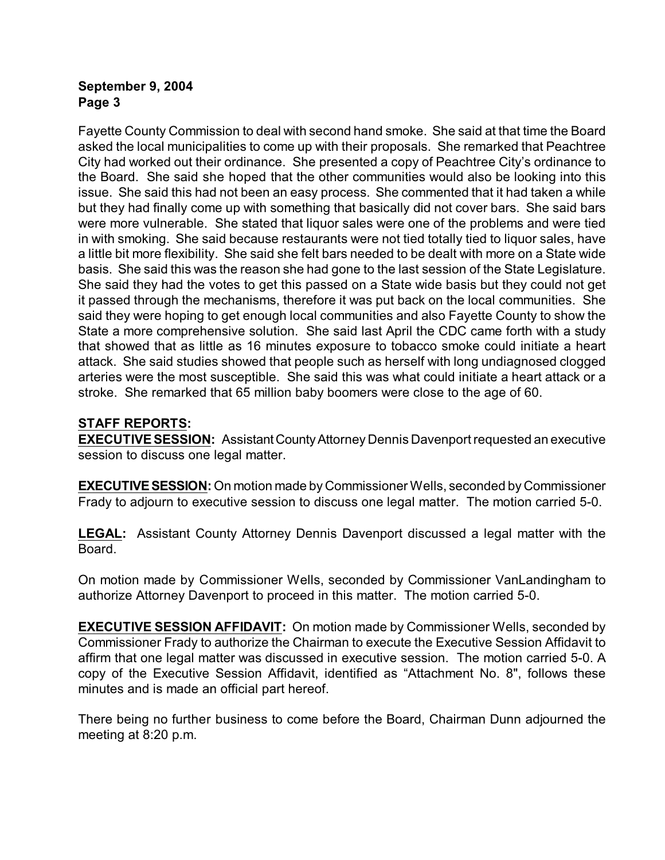### **September 9, 2004 Page 3**

Fayette County Commission to deal with second hand smoke. She said at that time the Board asked the local municipalities to come up with their proposals. She remarked that Peachtree City had worked out their ordinance. She presented a copy of Peachtree City's ordinance to the Board. She said she hoped that the other communities would also be looking into this issue. She said this had not been an easy process. She commented that it had taken a while but they had finally come up with something that basically did not cover bars. She said bars were more vulnerable. She stated that liquor sales were one of the problems and were tied in with smoking. She said because restaurants were not tied totally tied to liquor sales, have a little bit more flexibility. She said she felt bars needed to be dealt with more on a State wide basis. She said this was the reason she had gone to the last session of the State Legislature. She said they had the votes to get this passed on a State wide basis but they could not get it passed through the mechanisms, therefore it was put back on the local communities. She said they were hoping to get enough local communities and also Fayette County to show the State a more comprehensive solution. She said last April the CDC came forth with a study that showed that as little as 16 minutes exposure to tobacco smoke could initiate a heart attack. She said studies showed that people such as herself with long undiagnosed clogged arteries were the most susceptible. She said this was what could initiate a heart attack or a stroke. She remarked that 65 million baby boomers were close to the age of 60.

# **STAFF REPORTS:**

**EXECUTIVE SESSION:** Assistant County Attorney Dennis Davenport requested an executive session to discuss one legal matter.

**EXECUTIVE SESSION:** On motion made by Commissioner Wells, seconded by Commissioner Frady to adjourn to executive session to discuss one legal matter. The motion carried 5-0.

**LEGAL:** Assistant County Attorney Dennis Davenport discussed a legal matter with the Board.

On motion made by Commissioner Wells, seconded by Commissioner VanLandingham to authorize Attorney Davenport to proceed in this matter. The motion carried 5-0.

**EXECUTIVE SESSION AFFIDAVIT:** On motion made by Commissioner Wells, seconded by Commissioner Frady to authorize the Chairman to execute the Executive Session Affidavit to affirm that one legal matter was discussed in executive session. The motion carried 5-0. A copy of the Executive Session Affidavit, identified as "Attachment No. 8", follows these minutes and is made an official part hereof.

There being no further business to come before the Board, Chairman Dunn adjourned the meeting at 8:20 p.m.